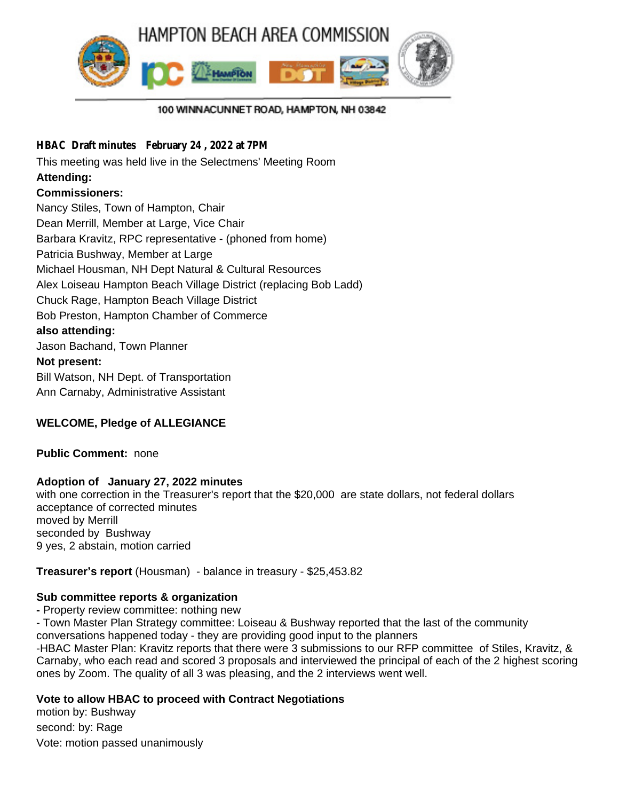

### 100 WINNACUNNET ROAD, HAMPTON, NH 03842

**HBAC Draft minutes February 24 , 2022 at 7PM** This meeting was held live in the Selectmens' Meeting Room **Attending: Commissioners:** Nancy Stiles, Town of Hampton, Chair Dean Merrill, Member at Large, Vice Chair Barbara Kravitz, RPC representative - (phoned from home) Patricia Bushway, Member at Large Michael Housman, NH Dept Natural & Cultural Resources Alex Loiseau Hampton Beach Village District (replacing Bob Ladd) Chuck Rage, Hampton Beach Village District Bob Preston, Hampton Chamber of Commerce **also attending:** Jason Bachand, Town Planner **Not present:**

Bill Watson, NH Dept. of Transportation Ann Carnaby, Administrative Assistant

# **WELCOME, Pledge of ALLEGIANCE**

## **Public Comment:** none

## **Adoption of January 27, 2022 minutes**

with one correction in the Treasurer's report that the \$20,000 are state dollars, not federal dollars acceptance of corrected minutes moved by Merrill seconded by Bushway 9 yes, 2 abstain, motion carried

**Treasurer's report** (Housman) - balance in treasury - \$25,453.82

# **Sub committee reports & organization**

**-** Property review committee: nothing new

- Town Master Plan Strategy committee: Loiseau & Bushway reported that the last of the community conversations happened today - they are providing good input to the planners -HBAC Master Plan: Kravitz reports that there were 3 submissions to our RFP committee of Stiles, Kravitz, &

Carnaby, who each read and scored 3 proposals and interviewed the principal of each of the 2 highest scoring ones by Zoom. The quality of all 3 was pleasing, and the 2 interviews went well.

# **Vote to allow HBAC to proceed with Contract Negotiations**

motion by: Bushway second: by: Rage Vote: motion passed unanimously